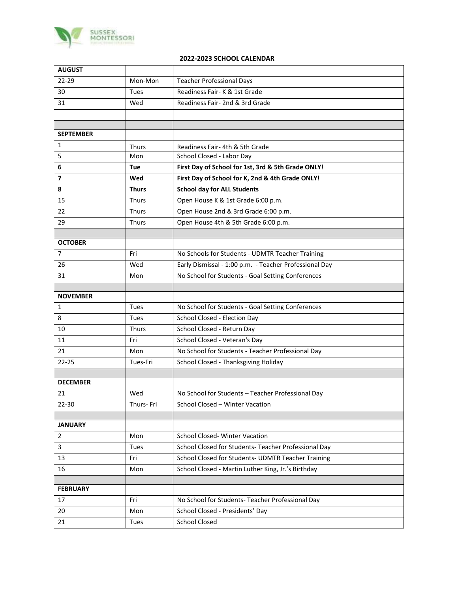

## **2022-2023 SCHOOL CALENDAR**

| <b>AUGUST</b>    |              |                                                        |
|------------------|--------------|--------------------------------------------------------|
| 22-29            | Mon-Mon      | <b>Teacher Professional Days</b>                       |
| 30               | Tues         | Readiness Fair-K & 1st Grade                           |
| 31               | Wed          | Readiness Fair- 2nd & 3rd Grade                        |
|                  |              |                                                        |
|                  |              |                                                        |
| <b>SEPTEMBER</b> |              |                                                        |
| 1                | <b>Thurs</b> | Readiness Fair- 4th & 5th Grade                        |
| 5                | Mon          | School Closed - Labor Day                              |
| 6                | Tue          | First Day of School for 1st, 3rd & 5th Grade ONLY!     |
| 7                | Wed          | First Day of School for K, 2nd & 4th Grade ONLY!       |
| 8                | <b>Thurs</b> | <b>School day for ALL Students</b>                     |
| 15               | <b>Thurs</b> | Open House K & 1st Grade 6:00 p.m.                     |
| 22               | Thurs        | Open House 2nd & 3rd Grade 6:00 p.m.                   |
| 29               | <b>Thurs</b> | Open House 4th & 5th Grade 6:00 p.m.                   |
|                  |              |                                                        |
| <b>OCTOBER</b>   |              |                                                        |
| $\overline{7}$   | Fri          | No Schools for Students - UDMTR Teacher Training       |
| 26               | Wed          | Early Dismissal - 1:00 p.m. - Teacher Professional Day |
| 31               | Mon          | No School for Students - Goal Setting Conferences      |
|                  |              |                                                        |
| <b>NOVEMBER</b>  |              |                                                        |
| 1                | Tues         | No School for Students - Goal Setting Conferences      |
| 8                | Tues         | School Closed - Election Day                           |
| 10               | Thurs        | School Closed - Return Day                             |
| 11               | Fri          | School Closed - Veteran's Day                          |
| 21               | Mon          | No School for Students - Teacher Professional Day      |
| $22 - 25$        | Tues-Fri     | School Closed - Thanksgiving Holiday                   |
| <b>DECEMBER</b>  |              |                                                        |
| 21               | Wed          | No School for Students - Teacher Professional Day      |
|                  | Thurs- Fri   | School Closed - Winter Vacation                        |
| 22-30            |              |                                                        |
| <b>JANUARY</b>   |              |                                                        |
| 2                | Mon          | <b>School Closed-Winter Vacation</b>                   |
| 3                | Tues         | School Closed for Students- Teacher Professional Day   |
| 13               | Fri          | School Closed for Students- UDMTR Teacher Training     |
| 16               | Mon          | School Closed - Martin Luther King, Jr.'s Birthday     |
|                  |              |                                                        |
| <b>FEBRUARY</b>  |              |                                                        |
| 17               | Fri          | No School for Students- Teacher Professional Day       |
| 20               | Mon          | School Closed - Presidents' Day                        |
| 21               | Tues         | <b>School Closed</b>                                   |
|                  |              |                                                        |